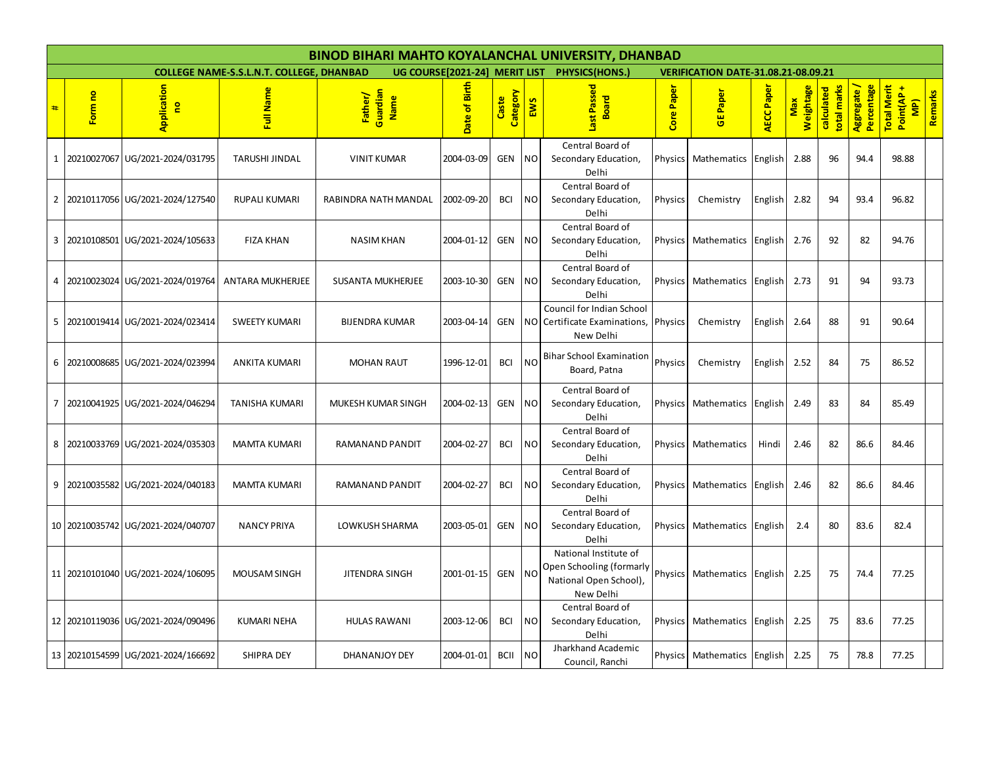|                | <b>BINOD BIHARI MAHTO KOYALANCHAL UNIVERSITY, DHANBAD</b> |                                    |                                                 |                                    |               |                   |                |                                                                                          |                |                                            |                   |                  |                           |                           |                                                  |         |
|----------------|-----------------------------------------------------------|------------------------------------|-------------------------------------------------|------------------------------------|---------------|-------------------|----------------|------------------------------------------------------------------------------------------|----------------|--------------------------------------------|-------------------|------------------|---------------------------|---------------------------|--------------------------------------------------|---------|
|                |                                                           |                                    | <b>COLLEGE NAME-S.S.L.N.T. COLLEGE, DHANBAD</b> |                                    |               |                   |                | UG COURSE[2021-24] MERIT LIST PHYSICS(HONS.)                                             |                | <b>VERIFICATION DATE-31.08.21-08.09.21</b> |                   |                  |                           |                           |                                                  |         |
| #              | Form no                                                   | Application<br>g                   | Full Name                                       | Father/<br>Guardian<br><b>Name</b> | Date of Birth | Category<br>Caste | EWS            | Last Passed<br><b>Board</b>                                                              | Paper<br>Core  | GE Paper                                   | <b>AECC</b> Paper | Weightage<br>Max | total marks<br>calculated | Aggregate /<br>Percentage | <b>Total Merit</b><br>Point(AP+<br>$\frac{1}{2}$ | Remarks |
| $\mathbf{1}$   |                                                           | 20210027067 UG/2021-2024/031795    | <b>TARUSHI JINDAL</b>                           | <b>VINIT KUMAR</b>                 | 2004-03-09    | <b>GEN</b>        | <b>NO</b>      | Central Board of<br>Secondary Education,<br>Delhi                                        | Physics        | Mathematics                                | English           | 2.88             | 96                        | 94.4                      | 98.88                                            |         |
| $\overline{2}$ |                                                           | 20210117056 UG/2021-2024/127540    | RUPALI KUMARI                                   | RABINDRA NATH MANDAL               | 2002-09-20    | <b>BCI</b>        | <b>NO</b>      | Central Board of<br>Secondary Education,<br>Delhi                                        | Physics        | Chemistry                                  | English           | 2.82             | 94                        | 93.4                      | 96.82                                            |         |
| 3              |                                                           | 20210108501 UG/2021-2024/105633    | <b>FIZA KHAN</b>                                | <b>NASIM KHAN</b>                  | 2004-01-12    | <b>GEN</b>        | N <sub>O</sub> | Central Board of<br>Secondary Education,<br>Delhi                                        | Physics        | Mathematics                                | English           | 2.76             | 92                        | 82                        | 94.76                                            |         |
| 4              |                                                           | 20210023024 UG/2021-2024/019764    | <b>ANTARA MUKHERJEE</b>                         | <b>SUSANTA MUKHERJEE</b>           | 2003-10-30    | <b>GEN</b>        | <b>NO</b>      | Central Board of<br>Secondary Education,<br>Delhi                                        | Physics        | Mathematics English                        |                   | 2.73             | 91                        | 94                        | 93.73                                            |         |
| 5              |                                                           | 20210019414 UG/2021-2024/023414    | <b>SWEETY KUMARI</b>                            | <b>BIJENDRA KUMAR</b>              | 2003-04-14    | <b>GEN</b>        | NO.            | <b>Council for Indian School</b><br>Certificate Examinations,<br>New Delhi               | Physics        | Chemistry                                  | English           | 2.64             | 88                        | 91                        | 90.64                                            |         |
| 6              |                                                           | 20210008685 UG/2021-2024/023994    | ANKITA KUMARI                                   | <b>MOHAN RAUT</b>                  | 1996-12-01    | <b>BCI</b>        | <b>NO</b>      | <b>Bihar School Examination</b><br>Board, Patna                                          | Physics        | Chemistry                                  | English           | 2.52             | 84                        | 75                        | 86.52                                            |         |
| 7              |                                                           | 20210041925 UG/2021-2024/046294    | <b>TANISHA KUMARI</b>                           | MUKESH KUMAR SINGH                 | 2004-02-13    | <b>GEN</b>        | <b>NO</b>      | Central Board of<br>Secondary Education,<br>Delhi                                        | Physics        | Mathematics                                | English           | 2.49             | 83                        | 84                        | 85.49                                            |         |
| 8              |                                                           | 20210033769 UG/2021-2024/035303    | <b>MAMTA KUMARI</b>                             | RAMANAND PANDIT                    | 2004-02-27    | <b>BCI</b>        | NO             | Central Board of<br>Secondary Education,<br>Delhi                                        | Physics        | Mathematics                                | Hindi             | 2.46             | 82                        | 86.6                      | 84.46                                            |         |
| 9              |                                                           | 20210035582 UG/2021-2024/040183    | <b>MAMTA KUMARI</b>                             | RAMANAND PANDIT                    | 2004-02-27    | <b>BCI</b>        | <b>NO</b>      | Central Board of<br>Secondary Education,<br>Delhi                                        | <b>Physics</b> | Mathematics English                        |                   | 2.46             | 82                        | 86.6                      | 84.46                                            |         |
|                |                                                           | 10 20210035742 UG/2021-2024/040707 | <b>NANCY PRIYA</b>                              | <b>LOWKUSH SHARMA</b>              | 2003-05-01    | <b>GEN</b>        | <b>NO</b>      | Central Board of<br>Secondary Education,<br>Delhi                                        | Physics        | Mathematics                                | English           | 2.4              | 80                        | 83.6                      | 82.4                                             |         |
|                |                                                           | 11 20210101040 UG/2021-2024/106095 | MOUSAM SINGH                                    | JITENDRA SINGH                     | 2001-01-15    | <b>GEN</b>        | <b>NO</b>      | National Institute of<br>Open Schooling (formarly<br>National Open School),<br>New Delhi | Physics        | Mathematics English                        |                   | 2.25             | 75                        | 74.4                      | 77.25                                            |         |
|                |                                                           | 12 20210119036 UG/2021-2024/090496 | <b>KUMARI NEHA</b>                              | <b>HULAS RAWANI</b>                | 2003-12-06    | <b>BCI</b>        | <b>NO</b>      | Central Board of<br>Secondary Education,<br>Delhi                                        | Physics        | Mathematics                                | English           | 2.25             | 75                        | 83.6                      | 77.25                                            |         |
|                |                                                           | 13 20210154599 UG/2021-2024/166692 | <b>SHIPRA DEY</b>                               | DHANANJOY DEY                      | 2004-01-01    | <b>BCII</b>       | <b>NO</b>      | Jharkhand Academic<br>Council, Ranchi                                                    | Physics        | Mathematics                                | English           | 2.25             | 75                        | 78.8                      | 77.25                                            |         |
|                |                                                           |                                    |                                                 |                                    |               |                   |                |                                                                                          |                |                                            |                   |                  |                           |                           |                                                  |         |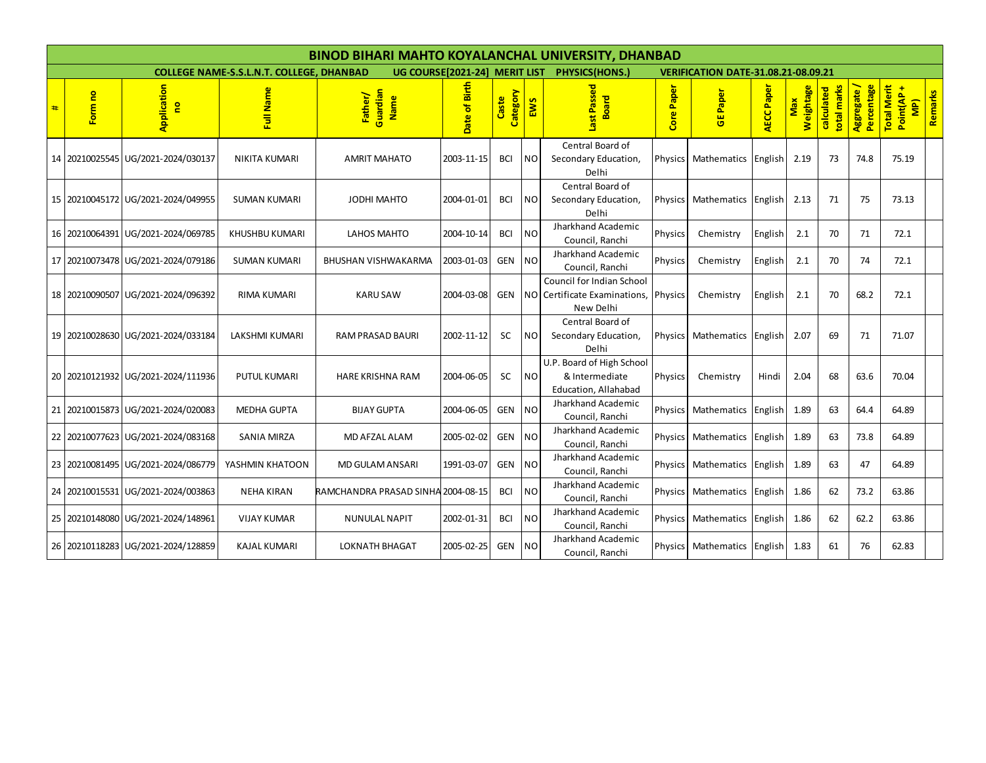|   | <b>BINOD BIHARI MAHTO KOYALANCHAL UNIVERSITY, DHANBAD</b> |                                    |                                                 |                                    |                                                 |                   |               |                                                                                |               |                                 |                                            |                  |                           |                           |                                                  |         |  |  |
|---|-----------------------------------------------------------|------------------------------------|-------------------------------------------------|------------------------------------|-------------------------------------------------|-------------------|---------------|--------------------------------------------------------------------------------|---------------|---------------------------------|--------------------------------------------|------------------|---------------------------|---------------------------|--------------------------------------------------|---------|--|--|
|   |                                                           |                                    | <b>COLLEGE NAME-S.S.L.N.T. COLLEGE, DHANBAD</b> |                                    | UG COURSE[2021-24] MERIT LIST<br>PHYSICS(HONS.) |                   |               |                                                                                |               |                                 | <b>VERIFICATION DATE-31.08.21-08.09.21</b> |                  |                           |                           |                                                  |         |  |  |
| # | Form no                                                   | Application<br>$\mathbf{e}$        | Full Name                                       | Guardian<br>Father/<br>Name        | Date of Birth                                   | Category<br>Caste | EWS           | ast Passed<br><b>Board</b>                                                     | Paper<br>Core | Paper<br>퓽                      | <b>AECC Paper</b>                          | Weightage<br>Max | total marks<br>calculated | Aggregate /<br>Percentage | <b>Total Merit</b><br>Point(AP+<br>$\frac{1}{2}$ | Remarks |  |  |
|   | 14 20210025545                                            | UG/2021-2024/030137                | <b>NIKITA KUMARI</b>                            | <b>AMRIT MAHATO</b>                | 2003-11-15                                      | <b>BCI</b>        | NO.           | Central Board of<br>Secondary Education,<br>Delhi                              |               | Physics Mathematics             | English                                    | 2.19             | 73                        | 74.8                      | 75.19                                            |         |  |  |
|   |                                                           | 15 20210045172 UG/2021-2024/049955 | <b>SUMAN KUMARI</b>                             | <b>JODHI MAHTO</b>                 | 2004-01-01                                      | <b>BCI</b>        | NO            | Central Board of<br>Secondary Education,<br>Delhi                              |               | Physics Mathematics             | English                                    | 2.13             | 71                        | 75                        | 73.13                                            |         |  |  |
|   | 16 20210064391                                            | UG/2021-2024/069785                | <b>KHUSHBU KUMARI</b>                           | LAHOS MAHTO                        | 2004-10-14                                      | <b>BCI</b>        | <b>NO</b>     | Jharkhand Academic<br>Council, Ranchi                                          | Physics       | Chemistry                       | English                                    | 2.1              | 70                        | 71                        | 72.1                                             |         |  |  |
|   |                                                           | 17 20210073478 UG/2021-2024/079186 | <b>SUMAN KUMARI</b>                             | BHUSHAN VISHWAKARMA                | 2003-01-03                                      | <b>GEN</b>        | <b>NO</b>     | Jharkhand Academic<br>Council, Ranchi                                          | Physics       | Chemistry                       | English                                    | 2.1              | 70                        | 74                        | 72.1                                             |         |  |  |
|   |                                                           | 18 20210090507 UG/2021-2024/096392 | <b>RIMA KUMARI</b>                              | <b>KARU SAW</b>                    | 2004-03-08                                      | <b>GEN</b>        |               | Council for Indian School<br>NO Certificate Examinations, Physics<br>New Delhi |               | Chemistry                       | English                                    | 2.1              | 70                        | 68.2                      | 72.1                                             |         |  |  |
|   |                                                           | 19 20210028630 UG/2021-2024/033184 | LAKSHMI KUMARI                                  | RAM PRASAD BAURI                   | 2002-11-12                                      | SC                | NO.           | Central Board of<br>Secondary Education,<br>Delhi                              |               | Physics Mathematics             | English                                    | 2.07             | 69                        | 71                        | 71.07                                            |         |  |  |
|   |                                                           | 20 20210121932 UG/2021-2024/111936 | <b>PUTUL KUMARI</b>                             | <b>HARE KRISHNA RAM</b>            | 2004-06-05                                      | SC                | <sub>NO</sub> | U.P. Board of High School<br>& Intermediate<br>Education, Allahabad            | Physics       | Chemistry                       | Hindi                                      | 2.04             | 68                        | 63.6                      | 70.04                                            |         |  |  |
|   |                                                           | 21 20210015873 UG/2021-2024/020083 | <b>MEDHA GUPTA</b>                              | <b>BIJAY GUPTA</b>                 | 2004-06-05                                      | <b>GEN</b>        | <b>NO</b>     | Jharkhand Academic<br>Council, Ranchi                                          |               | Physics   Mathematics   English |                                            | 1.89             | 63                        | 64.4                      | 64.89                                            |         |  |  |
|   |                                                           | 22 20210077623 UG/2021-2024/083168 | <b>SANIA MIRZA</b>                              | <b>MD AFZAL ALAM</b>               | 2005-02-02                                      | <b>GEN</b>        | <b>NO</b>     | Jharkhand Academic<br>Council, Ranchi                                          |               | Physics Mathematics English     |                                            | 1.89             | 63                        | 73.8                      | 64.89                                            |         |  |  |
|   |                                                           | 23 20210081495 UG/2021-2024/086779 | YASHMIN KHATOON                                 | MD GULAM ANSARI                    | 1991-03-07                                      | <b>GEN</b>        | <b>NO</b>     | Jharkhand Academic<br>Council, Ranchi                                          | Physics       | Mathematics                     | English                                    | 1.89             | 63                        | 47                        | 64.89                                            |         |  |  |
|   |                                                           | 24 20210015531 UG/2021-2024/003863 | <b>NEHA KIRAN</b>                               | RAMCHANDRA PRASAD SINHA 2004-08-15 |                                                 | <b>BCI</b>        | <b>NO</b>     | Jharkhand Academic<br>Council, Ranchi                                          |               | Physics Mathematics English     |                                            | 1.86             | 62                        | 73.2                      | 63.86                                            |         |  |  |
|   |                                                           | 25 20210148080 UG/2021-2024/148961 | <b>VIJAY KUMAR</b>                              | <b>NUNULAL NAPIT</b>               | 2002-01-31                                      | <b>BCI</b>        | <b>NO</b>     | Jharkhand Academic<br>Council, Ranchi                                          |               | Physics   Mathematics           | English                                    | 1.86             | 62                        | 62.2                      | 63.86                                            |         |  |  |
|   |                                                           | 26 20210118283 UG/2021-2024/128859 | <b>KAJAL KUMARI</b>                             | <b>LOKNATH BHAGAT</b>              | 2005-02-25                                      | <b>GEN</b>        | <b>NO</b>     | Jharkhand Academic<br>Council, Ranchi                                          |               | Physics Mathematics             | English                                    | 1.83             | 61                        | 76                        | 62.83                                            |         |  |  |
|   |                                                           |                                    |                                                 |                                    |                                                 |                   |               |                                                                                |               |                                 |                                            |                  |                           |                           |                                                  |         |  |  |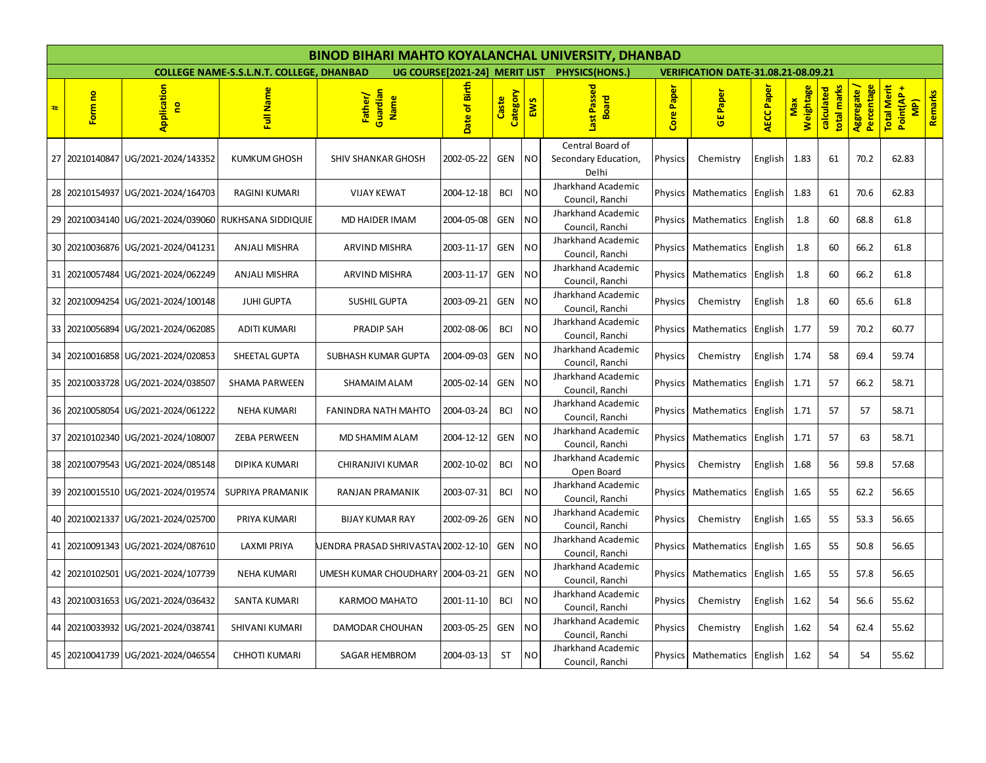|                 | BINOD BIHARI MAHTO KOYALANCHAL UNIVERSITY, DHANBAD |                                 |                                                 |                                     |                               |                   |                |                                                   |               |                                            |            |                  |                           |                           |                                                  |         |
|-----------------|----------------------------------------------------|---------------------------------|-------------------------------------------------|-------------------------------------|-------------------------------|-------------------|----------------|---------------------------------------------------|---------------|--------------------------------------------|------------|------------------|---------------------------|---------------------------|--------------------------------------------------|---------|
|                 |                                                    |                                 | <b>COLLEGE NAME-S.S.L.N.T. COLLEGE, DHANBAD</b> |                                     | UG COURSE[2021-24] MERIT LIST |                   |                | PHYSICS(HONS.)                                    |               | <b>VERIFICATION DATE-31.08.21-08.09.21</b> |            |                  |                           |                           |                                                  |         |
| #               | Form no                                            | Application<br>g                | Full Name                                       | Guardian<br>Father/<br>Name         | Date of Birth                 | Category<br>Caste | EWS            | Last Passed<br><b>Board</b>                       | Paper<br>Core | <b>GEPaper</b>                             | AECC Paper | Weightage<br>Max | total marks<br>calculated | Aggregate /<br>Percentage | <b>Total Merit</b><br>Point(AP+<br>$\frac{1}{2}$ | Remarks |
|                 | 27 20210140847                                     | UG/2021-2024/143352             | <b>KUMKUM GHOSH</b>                             | <b>SHIV SHANKAR GHOSH</b>           | 2002-05-22                    | <b>GEN</b>        | NO.            | Central Board of<br>Secondary Education,<br>Delhi | Physics       | Chemistry                                  | English    | 1.83             | 61                        | 70.2                      | 62.83                                            |         |
| 28              | 20210154937                                        | UG/2021-2024/164703             | RAGINI KUMARI                                   | <b>VIJAY KEWAT</b>                  | 2004-12-18                    | <b>BCI</b>        | <b>NO</b>      | Jharkhand Academic<br>Council, Ranchi             | Physics       | Mathematics                                | English    | 1.83             | 61                        | 70.6                      | 62.83                                            |         |
| 29              | 20210034140                                        | UG/2021-2024/039060             | RUKHSANA SIDDIQUIE                              | MD HAIDER IMAM                      | 2004-05-08                    | <b>GEN</b>        | <b>NO</b>      | Jharkhand Academic<br>Council, Ranchi             | Physics       | Mathematics                                | English    | 1.8              | 60                        | 68.8                      | 61.8                                             |         |
|                 | 30 20210036876                                     | UG/2021-2024/041231             | <b>ANJALI MISHRA</b>                            | <b>ARVIND MISHRA</b>                | 2003-11-17                    | <b>GEN</b>        | <b>NO</b>      | Jharkhand Academic<br>Council, Ranchi             | Physics       | Mathematics                                | English    | 1.8              | 60                        | 66.2                      | 61.8                                             |         |
|                 | 31 20210057484                                     | UG/2021-2024/062249             | <b>ANJALI MISHRA</b>                            | <b>ARVIND MISHRA</b>                | 2003-11-17                    | <b>GEN</b>        | NO.            | Jharkhand Academic<br>Council, Ranchi             | Physics       | Mathematics                                | English    | 1.8              | 60                        | 66.2                      | 61.8                                             |         |
| 32              | 20210094254                                        | UG/2021-2024/100148             | <b>JUHI GUPTA</b>                               | <b>SUSHIL GUPTA</b>                 | 2003-09-21                    | <b>GEN</b>        | <b>NO</b>      | Jharkhand Academic<br>Council, Ranchi             | Physics       | Chemistry                                  | English    | 1.8              | 60                        | 65.6                      | 61.8                                             |         |
| 33              | 20210056894                                        | UG/2021-2024/062085             | ADITI KUMARI                                    | <b>PRADIP SAH</b>                   | 2002-08-06                    | <b>BCI</b>        | <b>NO</b>      | Jharkhand Academic<br>Council, Ranchi             | Physics       | Mathematics                                | English    | 1.77             | 59                        | 70.2                      | 60.77                                            |         |
|                 | 34 20210016858                                     | UG/2021-2024/020853             | SHEETAL GUPTA                                   | SUBHASH KUMAR GUPTA                 | 2004-09-03                    | <b>GEN</b>        | <b>NO</b>      | Jharkhand Academic<br>Council, Ranchi             | Physics       | Chemistry                                  | English    | 1.74             | 58                        | 69.4                      | 59.74                                            |         |
| 35 <sub>1</sub> | 20210033728                                        | UG/2021-2024/038507             | <b>SHAMA PARWEEN</b>                            | <b>SHAMAIM ALAM</b>                 | 2005-02-14                    | <b>GEN</b>        | <b>NO</b>      | Jharkhand Academic<br>Council, Ranchi             | Physics       | Mathematics                                | English    | 1.71             | 57                        | 66.2                      | 58.71                                            |         |
|                 | 36 20210058054                                     | UG/2021-2024/061222             | <b>NEHA KUMARI</b>                              | <b>FANINDRA NATH MAHTO</b>          | 2004-03-24                    | <b>BCI</b>        | N <sub>O</sub> | Jharkhand Academic<br>Council, Ranchi             | Physics       | Mathematics                                | English    | 1.71             | 57                        | 57                        | 58.71                                            |         |
| 37              | 20210102340                                        | UG/2021-2024/108007             | <b>ZEBA PERWEEN</b>                             | <b>MD SHAMIM ALAM</b>               | 2004-12-12                    | <b>GEN</b>        | N <sub>O</sub> | Jharkhand Academic<br>Council, Ranchi             | Physics       | Mathematics                                | English    | 1.71             | 57                        | 63                        | 58.71                                            |         |
|                 | 38 20210079543                                     | UG/2021-2024/085148             | DIPIKA KUMARI                                   | <b>CHIRANJIVI KUMAR</b>             | 2002-10-02                    | <b>BCI</b>        | <b>NO</b>      | Jharkhand Academic<br>Open Board                  | Physics       | Chemistry                                  | English    | 1.68             | 56                        | 59.8                      | 57.68                                            |         |
| 39              | 20210015510                                        | UG/2021-2024/019574             | SUPRIYA PRAMANIK                                | RANJAN PRAMANIK                     | 2003-07-31                    | <b>BCI</b>        | <b>NO</b>      | Jharkhand Academic<br>Council, Ranchi             | Physics       | Mathematics                                | English    | 1.65             | 55                        | 62.2                      | 56.65                                            |         |
|                 | 40 20210021337                                     | UG/2021-2024/025700             | PRIYA KUMARI                                    | <b>BIJAY KUMAR RAY</b>              | 2002-09-26                    | <b>GEN</b>        | <b>NO</b>      | Jharkhand Academic<br>Council, Ranchi             | Physics       | Chemistry                                  | English    | 1.65             | 55                        | 53.3                      | 56.65                                            |         |
|                 | 41 20210091343                                     | UG/2021-2024/087610             | <b>LAXMI PRIYA</b>                              | UENDRA PRASAD SHRIVASTAV 2002-12-10 |                               | <b>GEN</b>        | <b>NO</b>      | Jharkhand Academic<br>Council, Ranchi             | Physics       | Mathematics                                | English    | 1.65             | 55                        | 50.8                      | 56.65                                            |         |
|                 | 42 20210102501                                     | UG/2021-2024/107739             | NEHA KUMARI                                     | UMESH KUMAR CHOUDHARY   2004-03-21  |                               | <b>GEN</b>        | <b>NO</b>      | Jharkhand Academic<br>Council, Ranchi             | Physics       | Mathematics                                | English    | 1.65             | 55                        | 57.8                      | 56.65                                            |         |
| 43              | 20210031653                                        | UG/2021-2024/036432             | <b>SANTA KUMARI</b>                             | KARMOO MAHATO                       | 2001-11-10                    | <b>BCI</b>        | <b>NO</b>      | Jharkhand Academic<br>Council, Ranchi             | Physics       | Chemistry                                  | English    | 1.62             | 54                        | 56.6                      | 55.62                                            |         |
| 44              |                                                    | 20210033932 UG/2021-2024/038741 | SHIVANI KUMARI                                  | DAMODAR CHOUHAN                     | 2003-05-25                    | <b>GEN</b>        | <b>NO</b>      | Jharkhand Academic<br>Council, Ranchi             | Physics       | Chemistry                                  | English    | 1.62             | 54                        | 62.4                      | 55.62                                            |         |
|                 | 45 20210041739                                     | UG/2021-2024/046554             | <b>CHHOTI KUMARI</b>                            | <b>SAGAR HEMBROM</b>                | 2004-03-13                    | <b>ST</b>         | NO.            | Jharkhand Academic<br>Council, Ranchi             | Physics       | Mathematics                                | English    | 1.62             | 54                        | 54                        | 55.62                                            |         |
|                 |                                                    |                                 |                                                 |                                     |                               |                   |                |                                                   |               |                                            |            |                  |                           |                           |                                                  |         |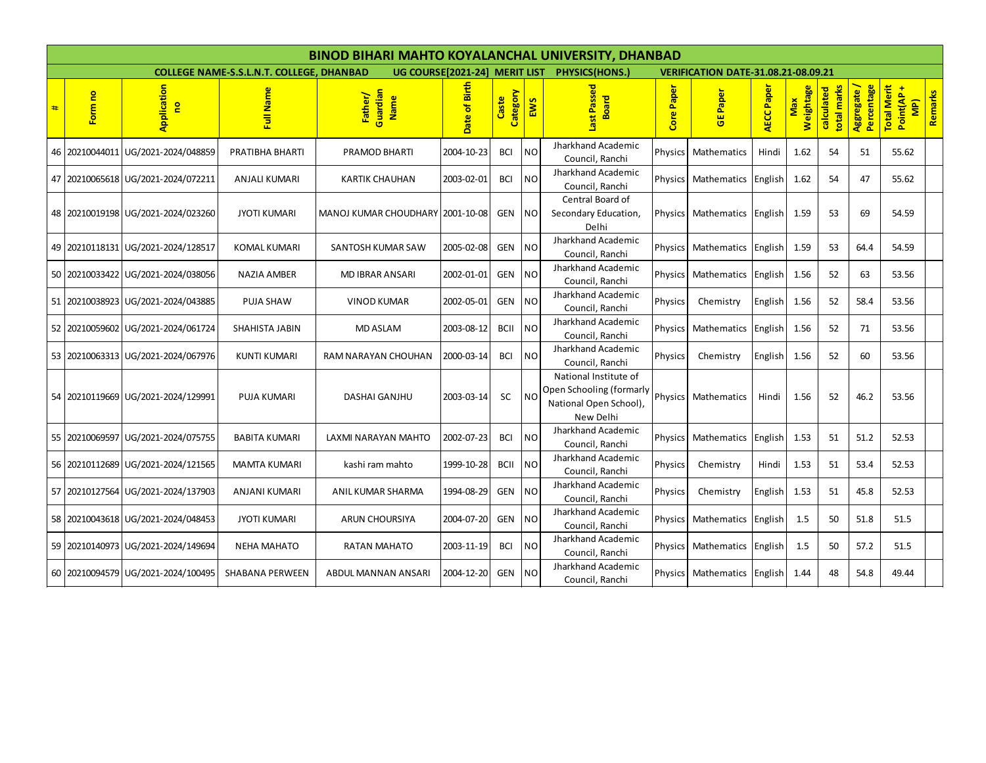|   |                |                                    |                                                 | <b>BINOD BIHARI MAHTO KOYALANCHAL UNIVERSITY, DHANBAD</b> |                                                        |                   |           |                                                                                          |                |                                            |                                   |                         |                           |                          |                                                  |         |
|---|----------------|------------------------------------|-------------------------------------------------|-----------------------------------------------------------|--------------------------------------------------------|-------------------|-----------|------------------------------------------------------------------------------------------|----------------|--------------------------------------------|-----------------------------------|-------------------------|---------------------------|--------------------------|--------------------------------------------------|---------|
|   |                |                                    | <b>COLLEGE NAME-S.S.L.N.T. COLLEGE, DHANBAD</b> |                                                           | UG COURSE[2021-24] MERIT LIST<br><b>PHYSICS(HONS.)</b> |                   |           |                                                                                          |                | <b>VERIFICATION DATE-31.08.21-08.09.21</b> |                                   |                         |                           |                          |                                                  |         |
| # | Form no        | Application<br>g                   | Full Name                                       | Guardian<br>Father/<br>Name                               | Date of Birth                                          | Category<br>Caste | EWS       | Last Passed<br><b>Board</b>                                                              | Paper<br>Core  | <b>GEPaper</b>                             | ECC Paper<br>$\blacktriangleleft$ | Weightage<br><b>Max</b> | total marks<br>calculated | Percentage<br>Aggregate/ | <b>Total Merit</b><br>Point(AP-<br>$\frac{1}{2}$ | Remarks |
|   | 46 20210044011 | UG/2021-2024/048859                | PRATIBHA BHARTI                                 | <b>PRAMOD BHARTI</b>                                      | 2004-10-23                                             | <b>BCI</b>        | NO.       | Jharkhand Academic<br>Council, Ranchi                                                    | Physics        | Mathematics                                | Hindi                             | 1.62                    | 54                        | 51                       | 55.62                                            |         |
|   |                | 47 20210065618 UG/2021-2024/072211 | ANJALI KUMARI                                   | <b>KARTIK CHAUHAN</b>                                     | 2003-02-01                                             | <b>BCI</b>        | <b>NO</b> | Jharkhand Academic<br>Council, Ranchi                                                    | <b>Physics</b> | Mathematics                                | English                           | 1.62                    | 54                        | 47                       | 55.62                                            |         |
|   |                | 48 20210019198 UG/2021-2024/023260 | <b>JYOTI KUMARI</b>                             | MANOJ KUMAR CHOUDHARY   2001-10-08                        |                                                        | <b>GEN</b>        | NO.       | Central Board of<br>Secondary Education,<br>Delhi                                        | <b>Physics</b> | Mathematics                                | English                           | 1.59                    | 53                        | 69                       | 54.59                                            |         |
|   | 49 20210118131 | UG/2021-2024/128517                | KOMAL KUMARI                                    | SANTOSH KUMAR SAW                                         | 2005-02-08                                             | <b>GEN</b>        | <b>NO</b> | Jharkhand Academic<br>Council, Ranchi                                                    |                | Physics   Mathematics   English            |                                   | 1.59                    | 53                        | 64.4                     | 54.59                                            |         |
|   | 50 20210033422 | UG/2021-2024/038056                | <b>NAZIA AMBER</b>                              | <b>MD IBRAR ANSARI</b>                                    | 2002-01-01                                             | <b>GEN</b>        | <b>NO</b> | Jharkhand Academic<br>Council, Ranchi                                                    | Physics        | Mathematics                                | English                           | 1.56                    | 52                        | 63                       | 53.56                                            |         |
|   |                | 51 20210038923 UG/2021-2024/043885 | PUJA SHAW                                       | <b>VINOD KUMAR</b>                                        | 2002-05-01                                             | <b>GEN</b>        | <b>NO</b> | Jharkhand Academic<br>Council, Ranchi                                                    | Physics        | Chemistry                                  | English                           | 1.56                    | 52                        | 58.4                     | 53.56                                            |         |
|   |                | 52 20210059602 UG/2021-2024/061724 | SHAHISTA JABIN                                  | <b>MD ASLAM</b>                                           | 2003-08-12                                             | <b>BCII</b>       | <b>NO</b> | Jharkhand Academic<br>Council, Ranchi                                                    | Physics        | Mathematics                                | English                           | 1.56                    | 52                        | 71                       | 53.56                                            |         |
|   |                | 53 20210063313 UG/2021-2024/067976 | <b>KUNTI KUMARI</b>                             | RAM NARAYAN CHOUHAN                                       | 2000-03-14                                             | <b>BCI</b>        | <b>NO</b> | Jharkhand Academic<br>Council, Ranchi                                                    | Physics        | Chemistry                                  | English                           | 1.56                    | 52                        | 60                       | 53.56                                            |         |
|   |                | 54 20210119669 UG/2021-2024/129991 | <b>PUJA KUMARI</b>                              | <b>DASHAI GANJHU</b>                                      | 2003-03-14                                             | SC                | <b>NO</b> | National Institute of<br>Open Schooling (formarly<br>National Open School),<br>New Delhi |                | Physics   Mathematics                      | Hindi                             | 1.56                    | 52                        | 46.2                     | 53.56                                            |         |
|   | 55 20210069597 | UG/2021-2024/075755                | <b>BABITA KUMARI</b>                            | LAXMI NARAYAN MAHTO                                       | 2002-07-23                                             | <b>BCI</b>        | <b>NO</b> | Jharkhand Academic<br>Council, Ranchi                                                    | Physics        | Mathematics                                | English                           | 1.53                    | 51                        | 51.2                     | 52.53                                            |         |
|   |                | 56 20210112689 UG/2021-2024/121565 | <b>MAMTA KUMARI</b>                             | kashi ram mahto                                           | 1999-10-28                                             | <b>BCII</b>       | <b>NO</b> | Jharkhand Academic<br>Council, Ranchi                                                    | Physics        | Chemistry                                  | Hindi                             | 1.53                    | 51                        | 53.4                     | 52.53                                            |         |
|   | 57 20210127564 | UG/2021-2024/137903                | ANJANI KUMARI                                   | ANIL KUMAR SHARMA                                         | 1994-08-29                                             | <b>GEN</b>        | <b>NO</b> | Jharkhand Academic<br>Council, Ranchi                                                    | Physics        | Chemistry                                  | English                           | 1.53                    | 51                        | 45.8                     | 52.53                                            |         |
|   |                | 58 20210043618 UG/2021-2024/048453 | <b>JYOTI KUMARI</b>                             | ARUN CHOURSIYA                                            | 2004-07-20                                             | <b>GEN</b>        | <b>NO</b> | Jharkhand Academic<br>Council, Ranchi                                                    |                | Physics Mathematics                        | English                           | 1.5                     | 50                        | 51.8                     | 51.5                                             |         |
|   |                | 59 20210140973 UG/2021-2024/149694 | <b>NEHA MAHATO</b>                              | <b>RATAN MAHATO</b>                                       | 2003-11-19                                             | <b>BCI</b>        | <b>NO</b> | Jharkhand Academic<br>Council, Ranchi                                                    | Physics        | Mathematics                                | English                           | 1.5                     | 50                        | 57.2                     | 51.5                                             |         |
|   |                | 60 20210094579 UG/2021-2024/100495 | <b>SHABANA PERWEEN</b>                          | ABDUL MANNAN ANSARI                                       | 2004-12-20                                             | <b>GEN</b>        | <b>NO</b> | Jharkhand Academic<br>Council, Ranchi                                                    |                | Physics   Mathematics                      | English                           | 1.44                    | 48                        | 54.8                     | 49.44                                            |         |
|   |                |                                    |                                                 |                                                           |                                                        |                   |           |                                                                                          |                |                                            |                                   |                         |                           |                          |                                                  |         |